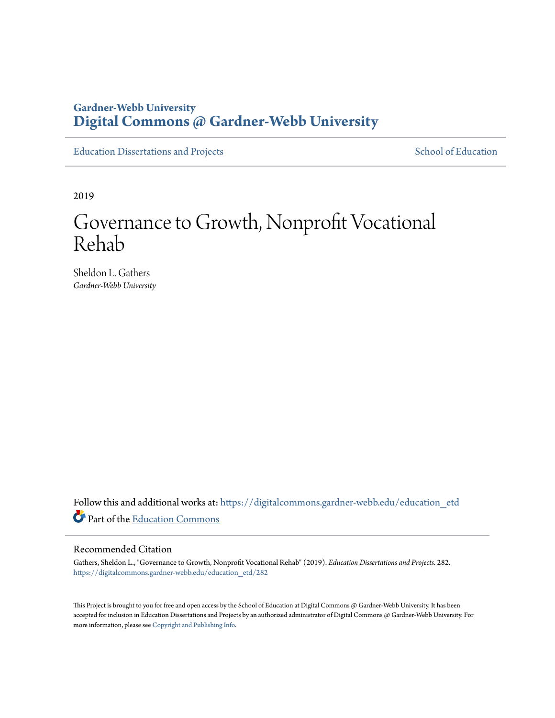# **Gardner-Webb University [Digital Commons @ Gardner-Webb University](https://digitalcommons.gardner-webb.edu?utm_source=digitalcommons.gardner-webb.edu%2Feducation_etd%2F282&utm_medium=PDF&utm_campaign=PDFCoverPages)**

[Education Dissertations and Projects](https://digitalcommons.gardner-webb.edu/education_etd?utm_source=digitalcommons.gardner-webb.edu%2Feducation_etd%2F282&utm_medium=PDF&utm_campaign=PDFCoverPages) [School of Education](https://digitalcommons.gardner-webb.edu/education?utm_source=digitalcommons.gardner-webb.edu%2Feducation_etd%2F282&utm_medium=PDF&utm_campaign=PDFCoverPages)

2019

# Governance to Growth, Nonprofit Vocational Rehab

Sheldon L. Gathers *Gardner-Webb University*

Follow this and additional works at: [https://digitalcommons.gardner-webb.edu/education\\_etd](https://digitalcommons.gardner-webb.edu/education_etd?utm_source=digitalcommons.gardner-webb.edu%2Feducation_etd%2F282&utm_medium=PDF&utm_campaign=PDFCoverPages) Part of the [Education Commons](http://network.bepress.com/hgg/discipline/784?utm_source=digitalcommons.gardner-webb.edu%2Feducation_etd%2F282&utm_medium=PDF&utm_campaign=PDFCoverPages)

#### Recommended Citation

Gathers, Sheldon L., "Governance to Growth, Nonprofit Vocational Rehab" (2019). *Education Dissertations and Projects*. 282. [https://digitalcommons.gardner-webb.edu/education\\_etd/282](https://digitalcommons.gardner-webb.edu/education_etd/282?utm_source=digitalcommons.gardner-webb.edu%2Feducation_etd%2F282&utm_medium=PDF&utm_campaign=PDFCoverPages)

This Project is brought to you for free and open access by the School of Education at Digital Commons @ Gardner-Webb University. It has been accepted for inclusion in Education Dissertations and Projects by an authorized administrator of Digital Commons @ Gardner-Webb University. For more information, please see [Copyright and Publishing Info](https://digitalcommons.gardner-webb.edu/copyright_publishing.html).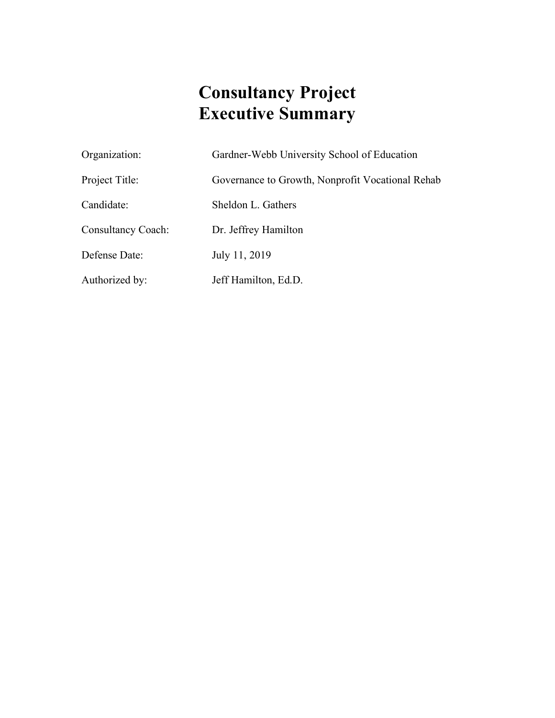# **Consultancy Project Executive Summary**

Organization: Gardner-Webb University School of Education

Project Title: Governance to Growth, Nonprofit Vocational Rehab

Candidate: Sheldon L. Gathers

Consultancy Coach: Dr. Jeffrey Hamilton

Defense Date: July 11, 2019

Authorized by: Jeff Hamilton, Ed.D.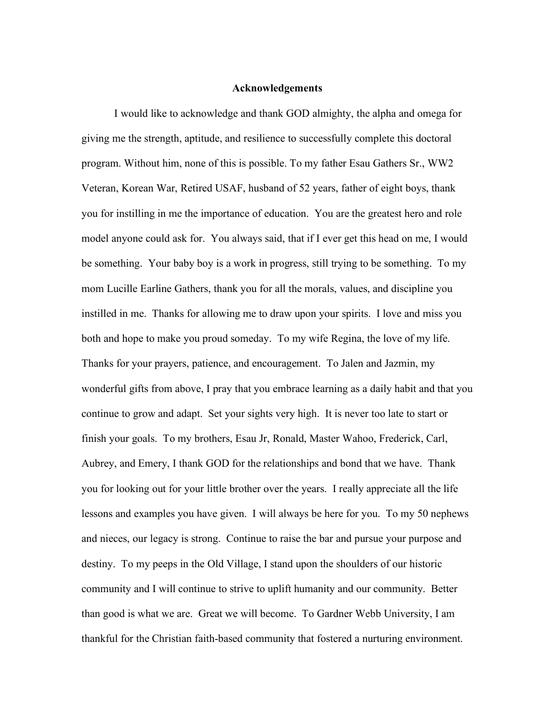#### **Acknowledgements**

I would like to acknowledge and thank GOD almighty, the alpha and omega for giving me the strength, aptitude, and resilience to successfully complete this doctoral program. Without him, none of this is possible. To my father Esau Gathers Sr., WW2 Veteran, Korean War, Retired USAF, husband of 52 years, father of eight boys, thank you for instilling in me the importance of education. You are the greatest hero and role model anyone could ask for. You always said, that if I ever get this head on me, I would be something. Your baby boy is a work in progress, still trying to be something. To my mom Lucille Earline Gathers, thank you for all the morals, values, and discipline you instilled in me. Thanks for allowing me to draw upon your spirits. I love and miss you both and hope to make you proud someday. To my wife Regina, the love of my life. Thanks for your prayers, patience, and encouragement. To Jalen and Jazmin, my wonderful gifts from above, I pray that you embrace learning as a daily habit and that you continue to grow and adapt. Set your sights very high. It is never too late to start or finish your goals. To my brothers, Esau Jr, Ronald, Master Wahoo, Frederick, Carl, Aubrey, and Emery, I thank GOD for the relationships and bond that we have. Thank you for looking out for your little brother over the years. I really appreciate all the life lessons and examples you have given. I will always be here for you. To my 50 nephews and nieces, our legacy is strong. Continue to raise the bar and pursue your purpose and destiny. To my peeps in the Old Village, I stand upon the shoulders of our historic community and I will continue to strive to uplift humanity and our community. Better than good is what we are. Great we will become. To Gardner Webb University, I am thankful for the Christian faith-based community that fostered a nurturing environment.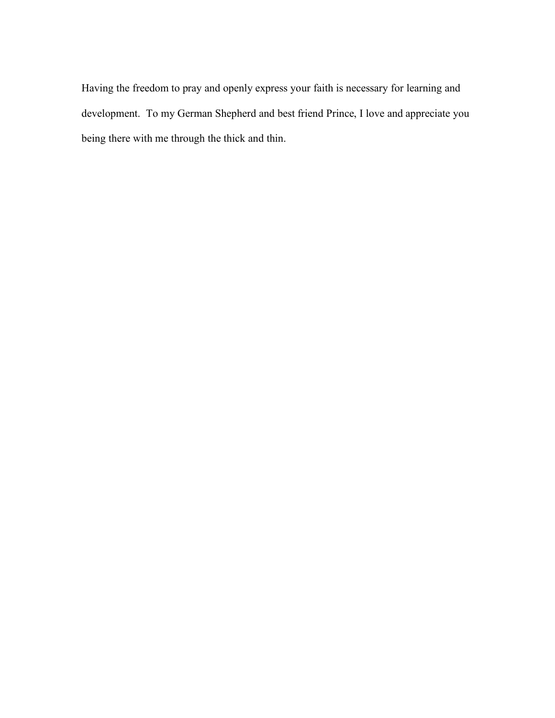Having the freedom to pray and openly express your faith is necessary for learning and development. To my German Shepherd and best friend Prince, I love and appreciate you being there with me through the thick and thin.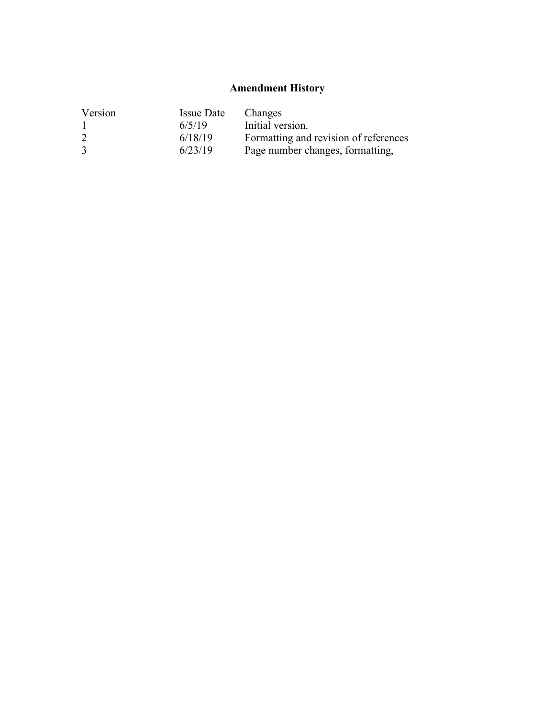# **Amendment History**

| Version | <b>Issue Date</b> | Changes                               |
|---------|-------------------|---------------------------------------|
|         | 6/5/19            | Initial version.                      |
| 2       | 6/18/19           | Formatting and revision of references |
| 3       | 6/23/19           | Page number changes, formatting,      |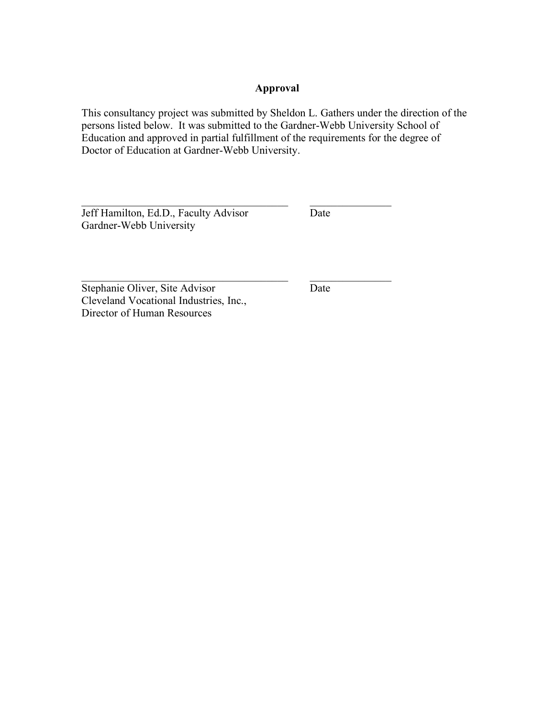# **Approval**

This consultancy project was submitted by Sheldon L. Gathers under the direction of the persons listed below. It was submitted to the Gardner-Webb University School of Education and approved in partial fulfillment of the requirements for the degree of Doctor of Education at Gardner-Webb University.

 $\mathcal{L}_\text{max}$  , and the contribution of the contribution of  $\mathcal{L}_\text{max}$ 

 $\mathcal{L}_\text{max}$  , and the contribution of the contribution of  $\mathcal{L}_\text{max}$ 

Jeff Hamilton, Ed.D., Faculty Advisor Date Gardner-Webb University

Stephanie Oliver, Site Advisor Date Cleveland Vocational Industries, Inc., Director of Human Resources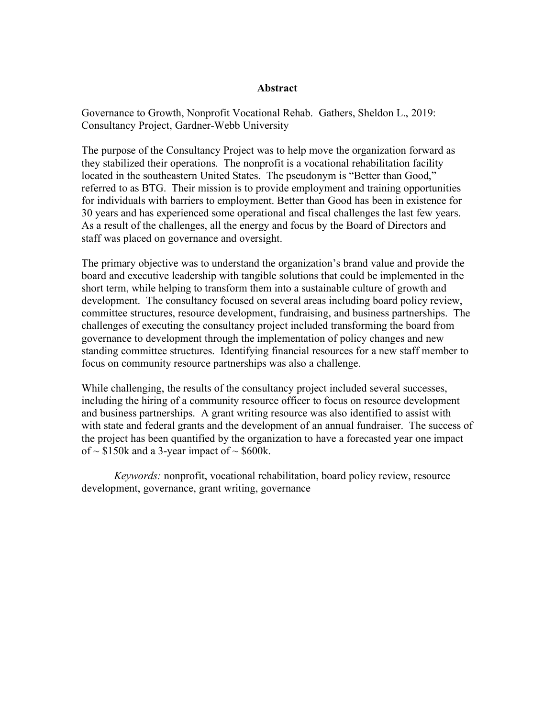### **Abstract**

Governance to Growth, Nonprofit Vocational Rehab. Gathers, Sheldon L., 2019: Consultancy Project, Gardner-Webb University

The purpose of the Consultancy Project was to help move the organization forward as they stabilized their operations. The nonprofit is a vocational rehabilitation facility located in the southeastern United States. The pseudonym is "Better than Good," referred to as BTG. Their mission is to provide employment and training opportunities for individuals with barriers to employment. Better than Good has been in existence for 30 years and has experienced some operational and fiscal challenges the last few years. As a result of the challenges, all the energy and focus by the Board of Directors and staff was placed on governance and oversight.

The primary objective was to understand the organization's brand value and provide the board and executive leadership with tangible solutions that could be implemented in the short term, while helping to transform them into a sustainable culture of growth and development. The consultancy focused on several areas including board policy review, committee structures, resource development, fundraising, and business partnerships. The challenges of executing the consultancy project included transforming the board from governance to development through the implementation of policy changes and new standing committee structures. Identifying financial resources for a new staff member to focus on community resource partnerships was also a challenge.

While challenging, the results of the consultancy project included several successes, including the hiring of a community resource officer to focus on resource development and business partnerships. A grant writing resource was also identified to assist with with state and federal grants and the development of an annual fundraiser. The success of the project has been quantified by the organization to have a forecasted year one impact of  $\sim$  \$150k and a 3-year impact of  $\sim$  \$600k.

*Keywords:* nonprofit, vocational rehabilitation, board policy review, resource development, governance, grant writing, governance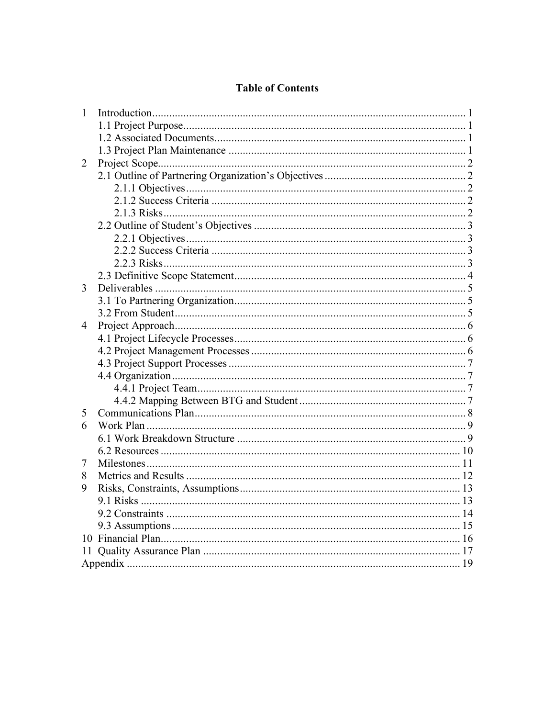# **Table of Contents**

| $\mathbf{1}$ |  |
|--------------|--|
|              |  |
|              |  |
|              |  |
| 2            |  |
|              |  |
|              |  |
|              |  |
|              |  |
|              |  |
|              |  |
|              |  |
|              |  |
|              |  |
| 3            |  |
|              |  |
|              |  |
| 4            |  |
|              |  |
|              |  |
|              |  |
|              |  |
|              |  |
|              |  |
| 5            |  |
| 6            |  |
|              |  |
|              |  |
| 7            |  |
| 8            |  |
| 9            |  |
|              |  |
|              |  |
|              |  |
|              |  |
| 11           |  |
|              |  |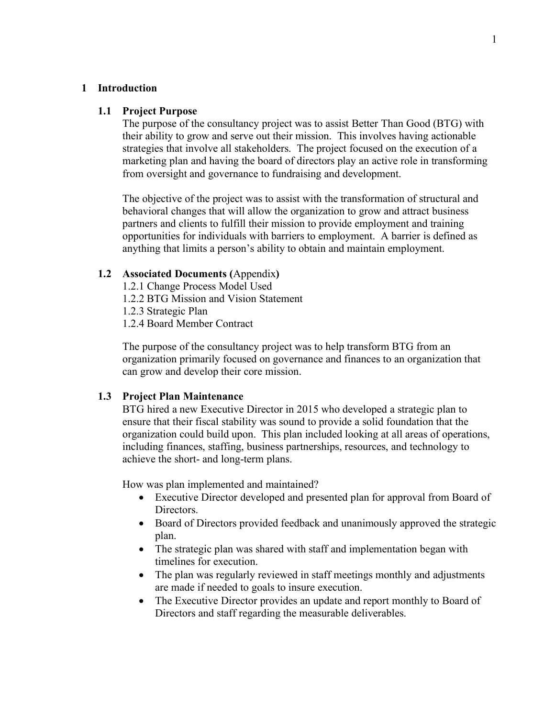#### **1 Introduction**

#### **1.1 Project Purpose**

The purpose of the consultancy project was to assist Better Than Good (BTG) with their ability to grow and serve out their mission. This involves having actionable strategies that involve all stakeholders. The project focused on the execution of a marketing plan and having the board of directors play an active role in transforming from oversight and governance to fundraising and development.

The objective of the project was to assist with the transformation of structural and behavioral changes that will allow the organization to grow and attract business partners and clients to fulfill their mission to provide employment and training opportunities for individuals with barriers to employment. A barrier is defined as anything that limits a person's ability to obtain and maintain employment.

### **1.2 Associated Documents (**Appendix**)**

- 1.2.1 Change Process Model Used
- 1.2.2 BTG Mission and Vision Statement

1.2.3 Strategic Plan

1.2.4 Board Member Contract

The purpose of the consultancy project was to help transform BTG from an organization primarily focused on governance and finances to an organization that can grow and develop their core mission.

### **1.3 Project Plan Maintenance**

BTG hired a new Executive Director in 2015 who developed a strategic plan to ensure that their fiscal stability was sound to provide a solid foundation that the organization could build upon. This plan included looking at all areas of operations, including finances, staffing, business partnerships, resources, and technology to achieve the short- and long-term plans.

How was plan implemented and maintained?

- Executive Director developed and presented plan for approval from Board of Directors.
- Board of Directors provided feedback and unanimously approved the strategic plan.
- The strategic plan was shared with staff and implementation began with timelines for execution.
- The plan was regularly reviewed in staff meetings monthly and adjustments are made if needed to goals to insure execution.
- The Executive Director provides an update and report monthly to Board of Directors and staff regarding the measurable deliverables.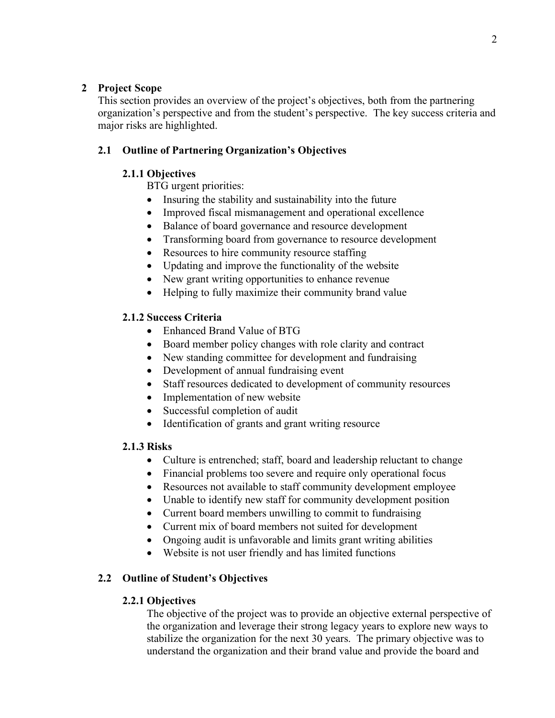# **2 Project Scope**

This section provides an overview of the project's objectives, both from the partnering organization's perspective and from the student's perspective. The key success criteria and major risks are highlighted.

# **2.1 Outline of Partnering Organization's Objectives**

# **2.1.1 Objectives**

BTG urgent priorities:

- Insuring the stability and sustainability into the future
- Improved fiscal mismanagement and operational excellence
- Balance of board governance and resource development
- Transforming board from governance to resource development
- Resources to hire community resource staffing
- Updating and improve the functionality of the website
- New grant writing opportunities to enhance revenue
- Helping to fully maximize their community brand value

# **2.1.2 Success Criteria**

- Enhanced Brand Value of BTG
- Board member policy changes with role clarity and contract
- New standing committee for development and fundraising
- Development of annual fundraising event
- Staff resources dedicated to development of community resources
- Implementation of new website
- Successful completion of audit
- Identification of grants and grant writing resource

# **2.1.3 Risks**

- Culture is entrenched; staff, board and leadership reluctant to change
- Financial problems too severe and require only operational focus
- Resources not available to staff community development employee
- Unable to identify new staff for community development position
- Current board members unwilling to commit to fundraising
- Current mix of board members not suited for development
- Ongoing audit is unfavorable and limits grant writing abilities
- Website is not user friendly and has limited functions

# **2.2 Outline of Student's Objectives**

# **2.2.1 Objectives**

The objective of the project was to provide an objective external perspective of the organization and leverage their strong legacy years to explore new ways to stabilize the organization for the next 30 years. The primary objective was to understand the organization and their brand value and provide the board and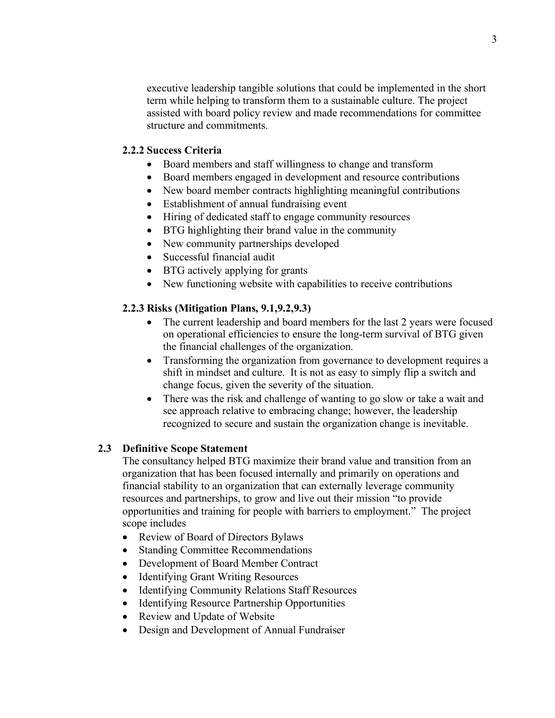executive leadership tangible solutions that could be implemented in the short term while helping to transform them to a sustainable culture. The project assisted with board policy review and made recommendations for committee structure and commitments.

### **2.2.2 Success Criteria**

- Board members and staff willingness to change and transform
- Board members engaged in development and resource contributions
- New board member contracts highlighting meaningful contributions
- Establishment of annual fundraising event
- Hiring of dedicated staff to engage community resources
- BTG highlighting their brand value in the community
- New community partnerships developed
- Successful financial audit
- BTG actively applying for grants
- New functioning website with capabilities to receive contributions

### **2.2.3 Risks (Mitigation Plans, 9.1,9.2,9.3)**

- The current leadership and board members for the last 2 years were focused on operational efficiencies to ensure the long-term survival of BTG given the financial challenges of the organization.
- Transforming the organization from governance to development requires a shift in mindset and culture. It is not as easy to simply flip a switch and change focus, given the severity of the situation.
- There was the risk and challenge of wanting to go slow or take a wait and see approach relative to embracing change; however, the leadership recognized to secure and sustain the organization change is inevitable.

# **2.3 Definitive Scope Statement**

The consultancy helped BTG maximize their brand value and transition from an organization that has been focused internally and primarily on operations and financial stability to an organization that can externally leverage community resources and partnerships, to grow and live out their mission "to provide opportunities and training for people with barriers to employment." The project scope includes

- Review of Board of Directors Bylaws
- Standing Committee Recommendations
- Development of Board Member Contract
- Identifying Grant Writing Resources
- Identifying Community Relations Staff Resources
- Identifying Resource Partnership Opportunities
- Review and Update of Website
- Design and Development of Annual Fundraiser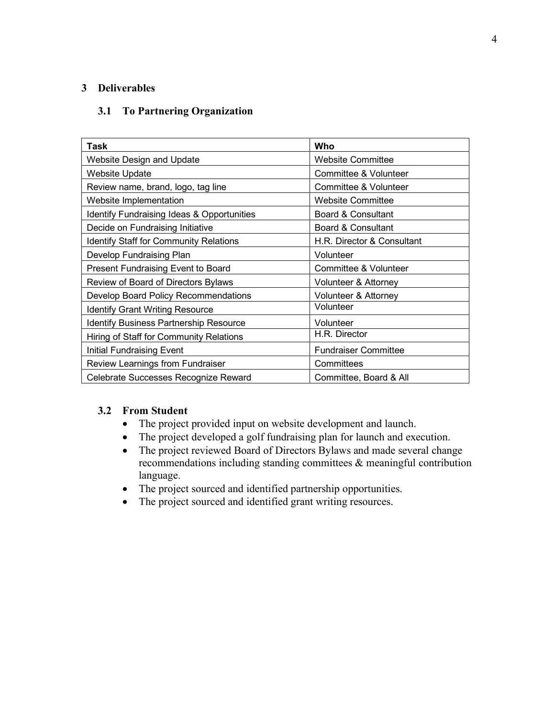# **3 Deliverables**

# **3.1 To Partnering Organization**

| Task                                          | Who                         |
|-----------------------------------------------|-----------------------------|
| <b>Website Design and Update</b>              | <b>Website Committee</b>    |
| <b>Website Update</b>                         | Committee & Volunteer       |
| Review name, brand, logo, tag line            | Committee & Volunteer       |
| Website Implementation                        | <b>Website Committee</b>    |
| Identify Fundraising Ideas & Opportunities    | Board & Consultant          |
| Decide on Fundraising Initiative              | Board & Consultant          |
| <b>Identify Staff for Community Relations</b> | H.R. Director & Consultant  |
| Develop Fundraising Plan                      | Volunteer                   |
| Present Fundraising Event to Board            | Committee & Volunteer       |
| Review of Board of Directors Bylaws           | Volunteer & Attorney        |
| Develop Board Policy Recommendations          | Volunteer & Attorney        |
| <b>Identify Grant Writing Resource</b>        | Volunteer                   |
| Identify Business Partnership Resource        | Volunteer                   |
| Hiring of Staff for Community Relations       | H.R. Director               |
| <b>Initial Fundraising Event</b>              | <b>Fundraiser Committee</b> |
| Review Learnings from Fundraiser              | Committees                  |
| Celebrate Successes Recognize Reward          | Committee, Board & All      |

### **3.2 From Student**

- The project provided input on website development and launch.
- The project developed a golf fundraising plan for launch and execution.
- The project reviewed Board of Directors Bylaws and made several change recommendations including standing committees & meaningful contribution language.
- The project sourced and identified partnership opportunities.
- The project sourced and identified grant writing resources.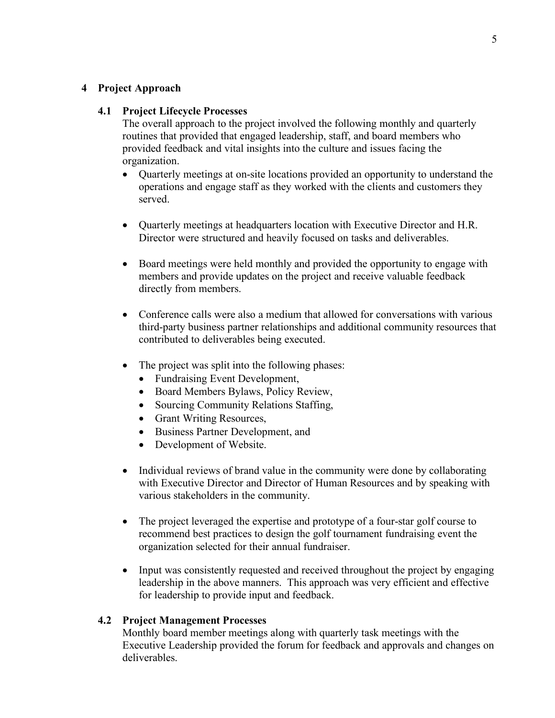### **4 Project Approach**

### **4.1 Project Lifecycle Processes**

The overall approach to the project involved the following monthly and quarterly routines that provided that engaged leadership, staff, and board members who provided feedback and vital insights into the culture and issues facing the organization.

- Quarterly meetings at on-site locations provided an opportunity to understand the operations and engage staff as they worked with the clients and customers they served.
- Quarterly meetings at headquarters location with Executive Director and H.R. Director were structured and heavily focused on tasks and deliverables.
- Board meetings were held monthly and provided the opportunity to engage with members and provide updates on the project and receive valuable feedback directly from members.
- Conference calls were also a medium that allowed for conversations with various third-party business partner relationships and additional community resources that contributed to deliverables being executed.
- The project was split into the following phases:
	- Fundraising Event Development,
	- Board Members Bylaws, Policy Review,
	- Sourcing Community Relations Staffing,
	- Grant Writing Resources,
	- Business Partner Development, and
	- Development of Website.
- Individual reviews of brand value in the community were done by collaborating with Executive Director and Director of Human Resources and by speaking with various stakeholders in the community.
- The project leveraged the expertise and prototype of a four-star golf course to recommend best practices to design the golf tournament fundraising event the organization selected for their annual fundraiser.
- Input was consistently requested and received throughout the project by engaging leadership in the above manners. This approach was very efficient and effective for leadership to provide input and feedback.

### **4.2 Project Management Processes**

Monthly board member meetings along with quarterly task meetings with the Executive Leadership provided the forum for feedback and approvals and changes on deliverables.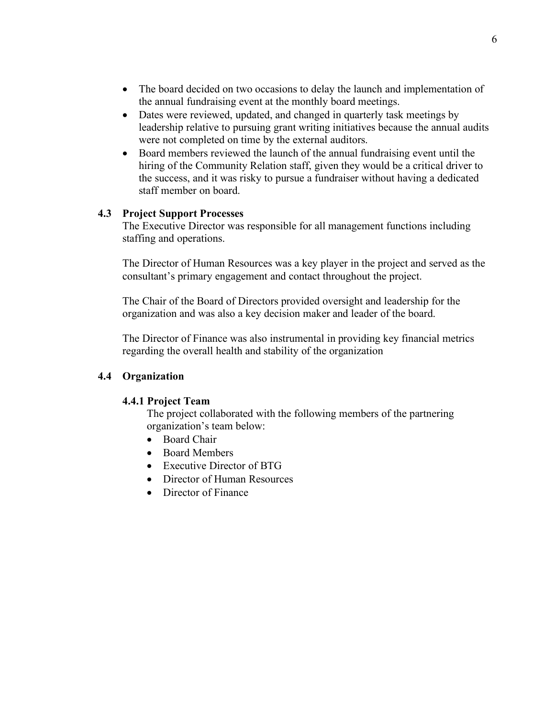- The board decided on two occasions to delay the launch and implementation of the annual fundraising event at the monthly board meetings.
- Dates were reviewed, updated, and changed in quarterly task meetings by leadership relative to pursuing grant writing initiatives because the annual audits were not completed on time by the external auditors.
- Board members reviewed the launch of the annual fundraising event until the hiring of the Community Relation staff, given they would be a critical driver to the success, and it was risky to pursue a fundraiser without having a dedicated staff member on board.

### **4.3 Project Support Processes**

The Executive Director was responsible for all management functions including staffing and operations.

The Director of Human Resources was a key player in the project and served as the consultant's primary engagement and contact throughout the project.

The Chair of the Board of Directors provided oversight and leadership for the organization and was also a key decision maker and leader of the board.

The Director of Finance was also instrumental in providing key financial metrics regarding the overall health and stability of the organization

### **4.4 Organization**

### **4.4.1 Project Team**

The project collaborated with the following members of the partnering organization's team below:

- Board Chair
- Board Members
- Executive Director of BTG
- Director of Human Resources
- Director of Finance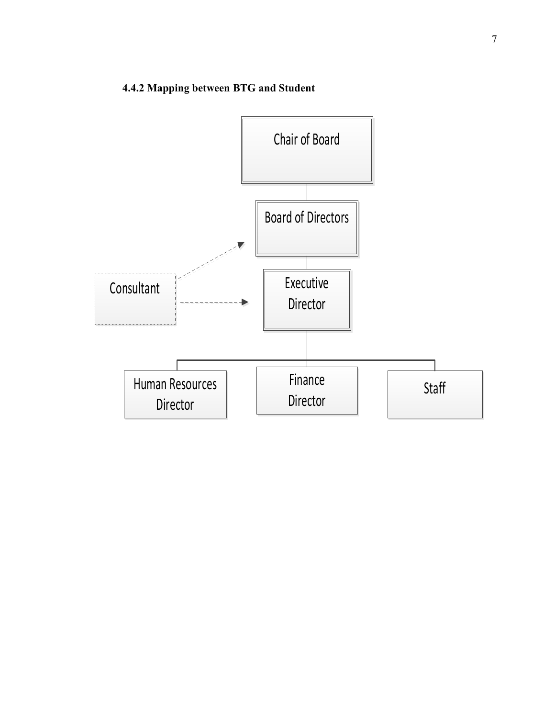# **4.4.2 Mapping between BTG and Student**

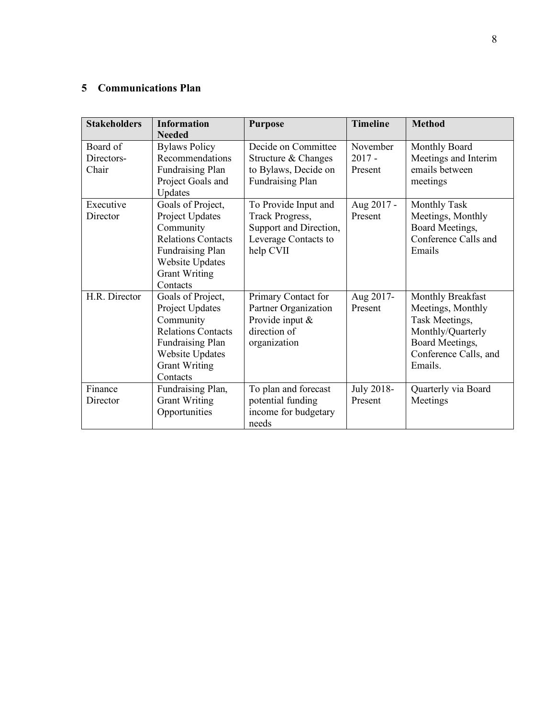# **5 Communications Plan**

| <b>Stakeholders</b>             | <b>Information</b><br><b>Needed</b>                                                                                                                                     | <b>Purpose</b>                                                                                         | <b>Timeline</b>                 | <b>Method</b>                                                                                                                        |
|---------------------------------|-------------------------------------------------------------------------------------------------------------------------------------------------------------------------|--------------------------------------------------------------------------------------------------------|---------------------------------|--------------------------------------------------------------------------------------------------------------------------------------|
| Board of<br>Directors-<br>Chair | <b>Bylaws Policy</b><br>Recommendations<br><b>Fundraising Plan</b><br>Project Goals and<br>Updates                                                                      | Decide on Committee<br>Structure & Changes<br>to Bylaws, Decide on<br><b>Fundraising Plan</b>          | November<br>$2017 -$<br>Present | Monthly Board<br>Meetings and Interim<br>emails between<br>meetings                                                                  |
| Executive<br>Director           | Goals of Project,<br>Project Updates<br>Community<br><b>Relations Contacts</b><br><b>Fundraising Plan</b><br>Website Updates<br><b>Grant Writing</b><br>Contacts        | To Provide Input and<br>Track Progress,<br>Support and Direction,<br>Leverage Contacts to<br>help CVII | Aug 2017 -<br>Present           | <b>Monthly Task</b><br>Meetings, Monthly<br>Board Meetings,<br>Conference Calls and<br>Emails                                        |
| H.R. Director                   | Goals of Project,<br>Project Updates<br>Community<br><b>Relations Contacts</b><br><b>Fundraising Plan</b><br><b>Website Updates</b><br><b>Grant Writing</b><br>Contacts | Primary Contact for<br>Partner Organization<br>Provide input &<br>direction of<br>organization         | Aug 2017-<br>Present            | Monthly Breakfast<br>Meetings, Monthly<br>Task Meetings,<br>Monthly/Quarterly<br>Board Meetings,<br>Conference Calls, and<br>Emails. |
| Finance<br>Director             | Fundraising Plan,<br><b>Grant Writing</b><br>Opportunities                                                                                                              | To plan and forecast<br>potential funding<br>income for budgetary<br>needs                             | July 2018-<br>Present           | Quarterly via Board<br>Meetings                                                                                                      |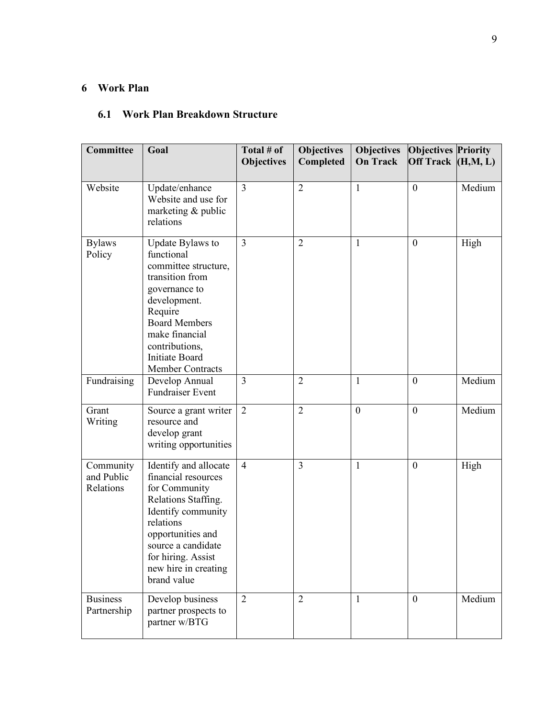# **6 Work Plan**

# **6.1 Work Plan Breakdown Structure**

| <b>Committee</b>                     | Goal                                                                                                                                                                                                                                  | Total # of<br><b>Objectives</b> | <b>Objectives</b><br>Completed | <b>Objectives</b><br><b>On Track</b> | <b>Objectives Priority</b><br>Off Track $(H, M, L)$ |        |
|--------------------------------------|---------------------------------------------------------------------------------------------------------------------------------------------------------------------------------------------------------------------------------------|---------------------------------|--------------------------------|--------------------------------------|-----------------------------------------------------|--------|
| Website                              | Update/enhance<br>Website and use for<br>marketing & public<br>relations                                                                                                                                                              | $\overline{3}$                  | $\overline{2}$                 | $\mathbf{1}$                         | $\boldsymbol{0}$                                    | Medium |
| <b>Bylaws</b><br>Policy              | Update Bylaws to<br>functional<br>committee structure,<br>transition from<br>governance to<br>development.<br>Require<br><b>Board Members</b><br>make financial<br>contributions,<br><b>Initiate Board</b><br><b>Member Contracts</b> | $\overline{3}$                  | $\overline{2}$                 | 1                                    | $\mathbf{0}$                                        | High   |
| Fundraising                          | Develop Annual<br><b>Fundraiser Event</b>                                                                                                                                                                                             | 3                               | $\overline{2}$                 | 1                                    | $\boldsymbol{0}$                                    | Medium |
| Grant<br>Writing                     | Source a grant writer<br>resource and<br>develop grant<br>writing opportunities                                                                                                                                                       | $\overline{2}$                  | $\overline{2}$                 | $\mathbf{0}$                         | $\boldsymbol{0}$                                    | Medium |
| Community<br>and Public<br>Relations | Identify and allocate<br>financial resources<br>for Community<br>Relations Staffing.<br>Identify community<br>relations<br>opportunities and<br>source a candidate<br>for hiring. Assist<br>new hire in creating<br>brand value       | $\overline{4}$                  | $\overline{3}$                 | 1                                    | $\boldsymbol{0}$                                    | High   |
| <b>Business</b><br>Partnership       | Develop business<br>partner prospects to<br>partner w/BTG                                                                                                                                                                             | $\overline{2}$                  | $\overline{2}$                 | 1                                    | $\mathbf{0}$                                        | Medium |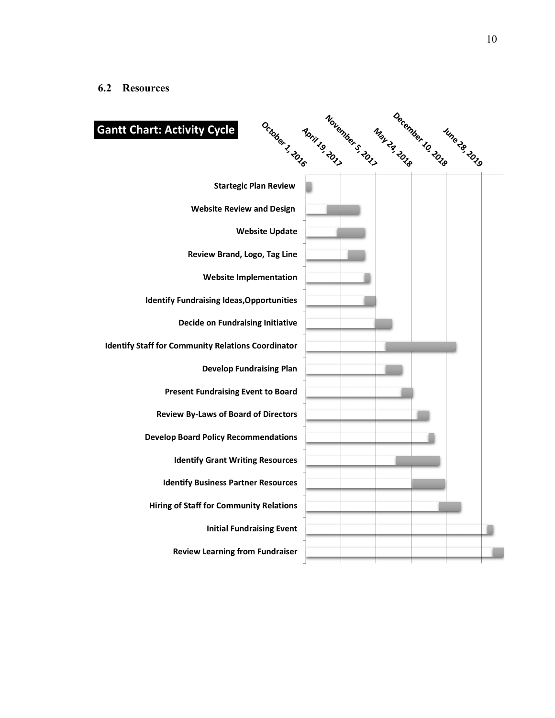| October 1, 2016<br><b>Gantt Chart: Activity Cycle</b>     | Moril 19 2017 - 2017 | May 29 Total 10 2018 | Iune 28 2019 |  |
|-----------------------------------------------------------|----------------------|----------------------|--------------|--|
| <b>Startegic Plan Review</b>                              |                      |                      |              |  |
| <b>Website Review and Design</b>                          |                      |                      |              |  |
| <b>Website Update</b>                                     |                      |                      |              |  |
| Review Brand, Logo, Tag Line                              |                      |                      |              |  |
| <b>Website Implementation</b>                             |                      |                      |              |  |
| <b>Identify Fundraising Ideas, Opportunities</b>          |                      |                      |              |  |
| <b>Decide on Fundraising Initiative</b>                   |                      |                      |              |  |
| <b>Identify Staff for Community Relations Coordinator</b> |                      |                      |              |  |
| <b>Develop Fundraising Plan</b>                           |                      |                      |              |  |
| <b>Present Fundraising Event to Board</b>                 |                      |                      |              |  |
| <b>Review By-Laws of Board of Directors</b>               |                      |                      |              |  |
| <b>Develop Board Policy Recommendations</b>               |                      |                      |              |  |
| <b>Identify Grant Writing Resources</b>                   |                      |                      |              |  |
| <b>Identify Business Partner Resources</b>                |                      |                      |              |  |
| <b>Hiring of Staff for Community Relations</b>            |                      |                      |              |  |
| <b>Initial Fundraising Event</b>                          |                      |                      |              |  |
| <b>Review Learning from Fundraiser</b>                    |                      |                      |              |  |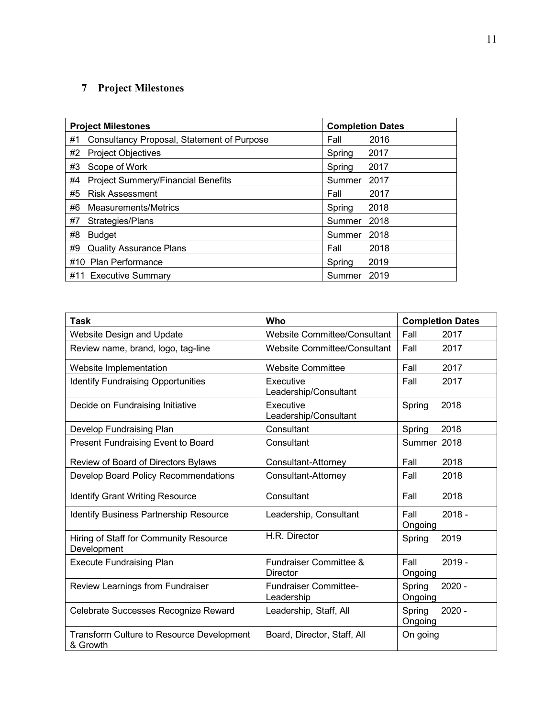# **7 Project Milestones**

|    | <b>Project Milestones</b>                  |        | <b>Completion Dates</b> |
|----|--------------------------------------------|--------|-------------------------|
| #1 | Consultancy Proposal, Statement of Purpose | Fall   | 2016                    |
| #2 | <b>Project Objectives</b>                  | Spring | 2017                    |
| #3 | Scope of Work                              | Spring | 2017                    |
| #4 | <b>Project Summery/Financial Benefits</b>  | Summer | 2017                    |
| #5 | <b>Risk Assessment</b>                     | Fall   | 2017                    |
| #6 | Measurements/Metrics                       | Spring | 2018                    |
| #7 | Strategies/Plans                           | Summer | 2018                    |
| #8 | <b>Budget</b>                              | Summer | 2018                    |
| #9 | <b>Quality Assurance Plans</b>             | Fall   | 2018                    |
|    | #10 Plan Performance                       | Spring | 2019                    |
|    | #11 Executive Summary                      | Summer | 2019                    |

| Task                                                         | Who                                           | <b>Completion Dates</b>       |
|--------------------------------------------------------------|-----------------------------------------------|-------------------------------|
| <b>Website Design and Update</b>                             | <b>Website Committee/Consultant</b>           | Fall<br>2017                  |
| Review name, brand, logo, tag-line                           | <b>Website Committee/Consultant</b>           | Fall<br>2017                  |
| Website Implementation                                       | <b>Website Committee</b>                      | Fall<br>2017                  |
| <b>Identify Fundraising Opportunities</b>                    | Executive<br>Leadership/Consultant            | 2017<br>Fall                  |
| Decide on Fundraising Initiative                             | Executive<br>Leadership/Consultant            | 2018<br>Spring                |
| Develop Fundraising Plan                                     | Consultant                                    | 2018<br>Spring                |
| Present Fundraising Event to Board                           | Consultant                                    | Summer 2018                   |
| Review of Board of Directors Bylaws                          | Consultant-Attorney                           | Fall<br>2018                  |
| Develop Board Policy Recommendations                         | Consultant-Attorney                           | Fall<br>2018                  |
| <b>Identify Grant Writing Resource</b>                       | Consultant                                    | Fall<br>2018                  |
| <b>Identify Business Partnership Resource</b>                | Leadership, Consultant                        | Fall<br>$2018 -$<br>Ongoing   |
| Hiring of Staff for Community Resource<br>Development        | H.R. Director                                 | 2019<br>Spring                |
| <b>Execute Fundraising Plan</b>                              | <b>Fundraiser Committee &amp;</b><br>Director | $2019 -$<br>Fall<br>Ongoing   |
| Review Learnings from Fundraiser                             | <b>Fundraiser Committee-</b><br>Leadership    | Spring<br>$2020 -$<br>Ongoing |
| Celebrate Successes Recognize Reward                         | Leadership, Staff, All                        | $2020 -$<br>Spring<br>Ongoing |
| <b>Transform Culture to Resource Development</b><br>& Growth | Board, Director, Staff, All                   | On going                      |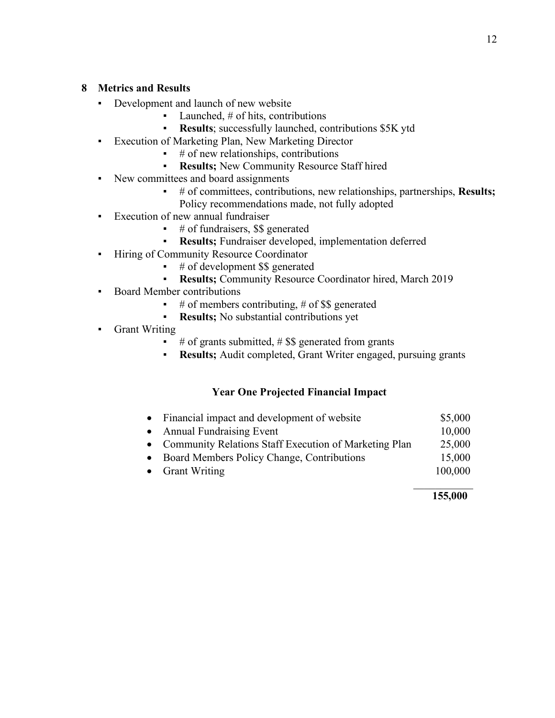### **8 Metrics and Results**

- Development and launch of new website
	- $\blacksquare$  Launched, # of hits, contributions
	- **Results**; successfully launched, contributions \$5K ytd
- Execution of Marketing Plan, New Marketing Director
	- $\bullet$  # of new relationships, contributions
	- **Results;** New Community Resource Staff hired
- New committees and board assignments
	- # of committees, contributions, new relationships, partnerships, **Results;** Policy recommendations made, not fully adopted
- Execution of new annual fundraiser
	- $\bullet$  # of fundraisers, \$\$ generated
	- **Results:** Fundraiser developed, implementation deferred
- **•** Hiring of Community Resource Coordinator
	- $\bullet$  # of development \$\$ generated
	- Results; Community Resource Coordinator hired, March 2019
- Board Member contributions
	- $\bullet$  # of members contributing, # of \$\$ generated
	- **Results;** No substantial contributions yet
- Grant Writing
	- # of grants submitted,  $#$  \$\$ generated from grants
	- **Results;** Audit completed, Grant Writer engaged, pursuing grants

# **Year One Projected Financial Impact**

- Financial impact and development of website \$5,000 • Annual Fundraising Event 10,000 • Community Relations Staff Execution of Marketing Plan 25,000
- Board Members Policy Change, Contributions 15,000
- Grant Writing 100,000  $\mathcal{L}_\text{max}$  and  $\mathcal{L}_\text{max}$  and  $\mathcal{L}_\text{max}$  and  $\mathcal{L}_\text{max}$

### **155,000**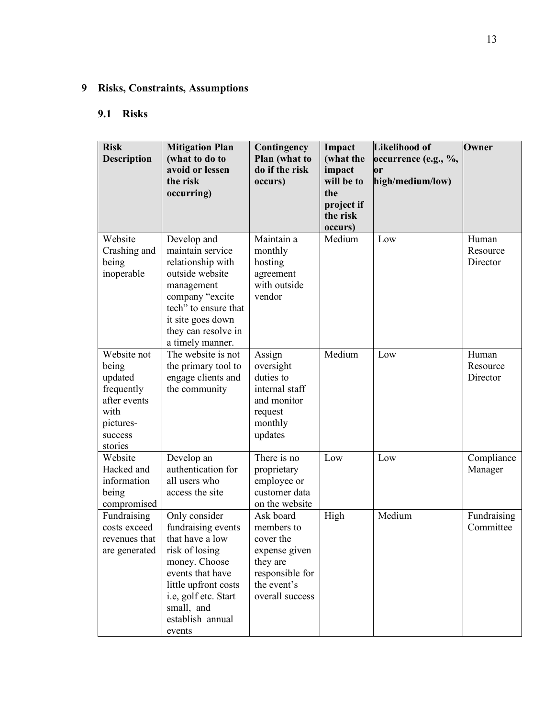# **9 Risks, Constraints, Assumptions**

# **9.1 Risks**

| <b>Risk</b><br><b>Description</b>                                                                        | <b>Mitigation Plan</b><br>(what to do to<br>avoid or lessen<br>the risk<br>occurring)                                                                                                                     | Contingency<br>Plan (what to<br>do if the risk<br>occurs)                                                              | Impact<br>(what the<br>impact<br>will be to<br>the<br>project if | <b>Likelihood of</b><br>occurrence (e.g., %,<br>or<br>high/medium/low) | Owner                         |
|----------------------------------------------------------------------------------------------------------|-----------------------------------------------------------------------------------------------------------------------------------------------------------------------------------------------------------|------------------------------------------------------------------------------------------------------------------------|------------------------------------------------------------------|------------------------------------------------------------------------|-------------------------------|
|                                                                                                          |                                                                                                                                                                                                           |                                                                                                                        | the risk<br>occurs)                                              |                                                                        |                               |
| Website<br>Crashing and<br>being<br>inoperable                                                           | Develop and<br>maintain service<br>relationship with<br>outside website<br>management<br>company "excite<br>tech" to ensure that<br>it site goes down<br>they can resolve in<br>a timely manner.          | Maintain a<br>monthly<br>hosting<br>agreement<br>with outside<br>vendor                                                | Medium                                                           | Low                                                                    | Human<br>Resource<br>Director |
| Website not<br>being<br>updated<br>frequently<br>after events<br>with<br>pictures-<br>success<br>stories | The website is not<br>the primary tool to<br>engage clients and<br>the community                                                                                                                          | Assign<br>oversight<br>duties to<br>internal staff<br>and monitor<br>request<br>monthly<br>updates                     | Medium                                                           | Low                                                                    | Human<br>Resource<br>Director |
| Website<br>Hacked and<br>information<br>being<br>compromised                                             | Develop an<br>authentication for<br>all users who<br>access the site                                                                                                                                      | There is no<br>proprietary<br>employee or<br>customer data<br>on the website                                           | Low                                                              | Low                                                                    | Compliance<br>Manager         |
| Fundraising<br>costs exceed<br>revenues that<br>are generated                                            | Only consider<br>fundraising events<br>that have a low<br>risk of losing<br>money. Choose<br>events that have<br>little upfront costs<br>i.e, golf etc. Start<br>small, and<br>establish annual<br>events | Ask board<br>members to<br>cover the<br>expense given<br>they are<br>responsible for<br>the event's<br>overall success | High                                                             | Medium                                                                 | Fundraising<br>Committee      |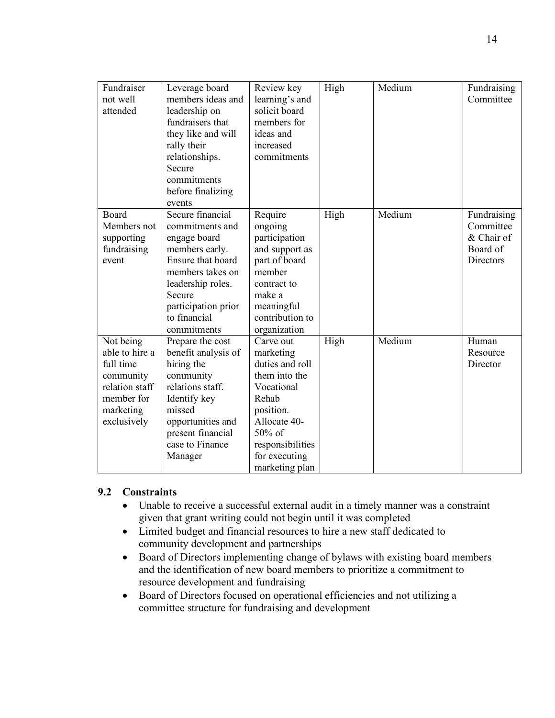| Fundraiser<br>not well<br>attended                                                                                | Leverage board<br>members ideas and<br>leadership on<br>fundraisers that<br>they like and will<br>rally their<br>relationships.<br>Secure<br>commitments<br>before finalizing<br>events             | Review key<br>learning's and<br>solicit board<br>members for<br>ideas and<br>increased<br>commitments                                                                           | High | Medium | Fundraising<br>Committee                                        |
|-------------------------------------------------------------------------------------------------------------------|-----------------------------------------------------------------------------------------------------------------------------------------------------------------------------------------------------|---------------------------------------------------------------------------------------------------------------------------------------------------------------------------------|------|--------|-----------------------------------------------------------------|
| Board<br>Members not<br>supporting<br>fundraising<br>event                                                        | Secure financial<br>commitments and<br>engage board<br>members early.<br>Ensure that board<br>members takes on<br>leadership roles.<br>Secure<br>participation prior<br>to financial<br>commitments | Require<br>ongoing<br>participation<br>and support as<br>part of board<br>member<br>contract to<br>make a<br>meaningful<br>contribution to<br>organization                      | High | Medium | Fundraising<br>Committee<br>& Chair of<br>Board of<br>Directors |
| Not being<br>able to hire a<br>full time<br>community<br>relation staff<br>member for<br>marketing<br>exclusively | Prepare the cost<br>benefit analysis of<br>hiring the<br>community<br>relations staff.<br>Identify key<br>missed<br>opportunities and<br>present financial<br>case to Finance<br>Manager            | Carve out<br>marketing<br>duties and roll<br>them into the<br>Vocational<br>Rehab<br>position.<br>Allocate 40-<br>50% of<br>responsibilities<br>for executing<br>marketing plan | High | Medium | Human<br>Resource<br>Director                                   |

# **9.2 Constraints**

- Unable to receive a successful external audit in a timely manner was a constraint given that grant writing could not begin until it was completed
- Limited budget and financial resources to hire a new staff dedicated to community development and partnerships
- Board of Directors implementing change of bylaws with existing board members and the identification of new board members to prioritize a commitment to resource development and fundraising
- Board of Directors focused on operational efficiencies and not utilizing a committee structure for fundraising and development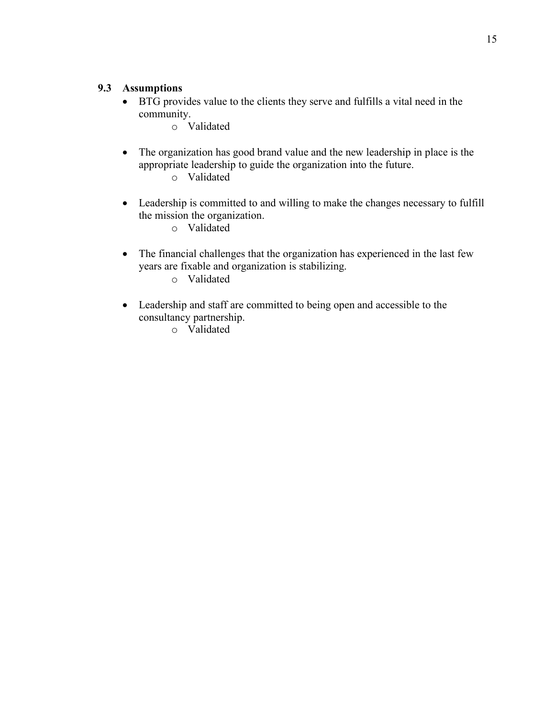### **9.3 Assumptions**

- BTG provides value to the clients they serve and fulfills a vital need in the community.
	- o Validated
- The organization has good brand value and the new leadership in place is the appropriate leadership to guide the organization into the future.
	- o Validated
- Leadership is committed to and willing to make the changes necessary to fulfill the mission the organization.
	- o Validated
- The financial challenges that the organization has experienced in the last few years are fixable and organization is stabilizing.
	- o Validated
- Leadership and staff are committed to being open and accessible to the consultancy partnership.
	- o Validated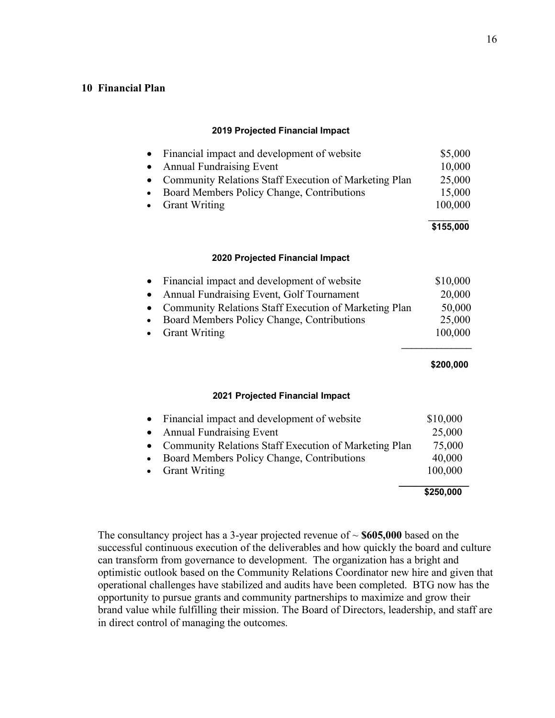### **10 Financial Plan**

#### **2019 Projected Financial Impact**

|           | • Financial impact and development of website           | \$5,000   |
|-----------|---------------------------------------------------------|-----------|
|           | • Annual Fundraising Event                              | 10,000    |
|           | • Community Relations Staff Execution of Marketing Plan | 25,000    |
| $\bullet$ | Board Members Policy Change, Contributions              | 15,000    |
|           | • Grant Writing                                         | 100,000   |
|           |                                                         | \$155,000 |
|           |                                                         |           |

#### **2020 Projected Financial Impact**

| Financial impact and development of website<br>$\bullet$           | \$10,000  |
|--------------------------------------------------------------------|-----------|
| Annual Fundraising Event, Golf Tournament<br>$\bullet$             | 20,000    |
| Community Relations Staff Execution of Marketing Plan<br>$\bullet$ | 50,000    |
| Board Members Policy Change, Contributions<br>$\bullet$            | 25,000    |
| <b>Grant Writing</b><br>$\bullet$                                  | 100,000   |
|                                                                    |           |
|                                                                    | \$200,000 |
|                                                                    |           |
| 2021 Projected Financial Impact                                    |           |

|                                                         | \$250,000 |
|---------------------------------------------------------|-----------|
| • Grant Writing                                         | 100,000   |
| • Board Members Policy Change, Contributions            | 40,000    |
| • Community Relations Staff Execution of Marketing Plan | 75,000    |
| • Annual Fundraising Event                              | 25,000    |
| • Financial impact and development of website           | \$10,000  |

The consultancy project has a 3-year projected revenue of ~ **\$605,000** based on the successful continuous execution of the deliverables and how quickly the board and culture can transform from governance to development. The organization has a bright and optimistic outlook based on the Community Relations Coordinator new hire and given that operational challenges have stabilized and audits have been completed. BTG now has the opportunity to pursue grants and community partnerships to maximize and grow their brand value while fulfilling their mission. The Board of Directors, leadership, and staff are in direct control of managing the outcomes.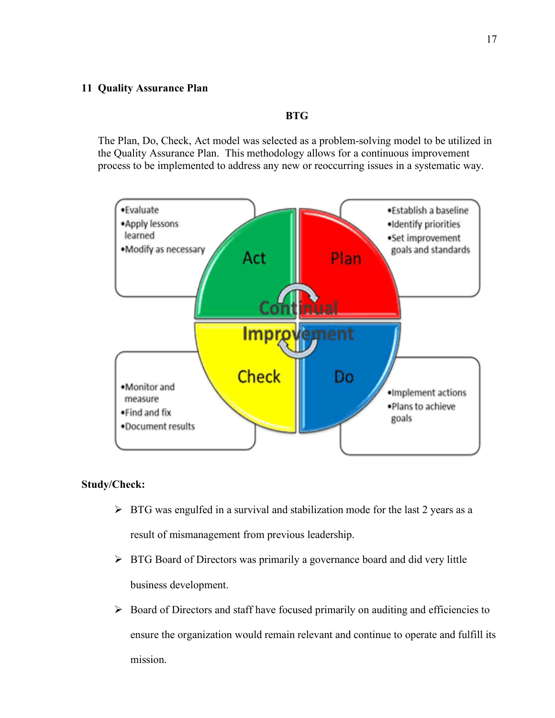#### **11 Quality Assurance Plan**

### **BTG**

The Plan, Do, Check, Act model was selected as a problem-solving model to be utilized in the Quality Assurance Plan. This methodology allows for a continuous improvement process to be implemented to address any new or reoccurring issues in a systematic way.



### **Study/Check:**

- $\triangleright$  BTG was engulfed in a survival and stabilization mode for the last 2 years as a result of mismanagement from previous leadership.
- Ø BTG Board of Directors was primarily a governance board and did very little business development.
- $\triangleright$  Board of Directors and staff have focused primarily on auditing and efficiencies to ensure the organization would remain relevant and continue to operate and fulfill its mission.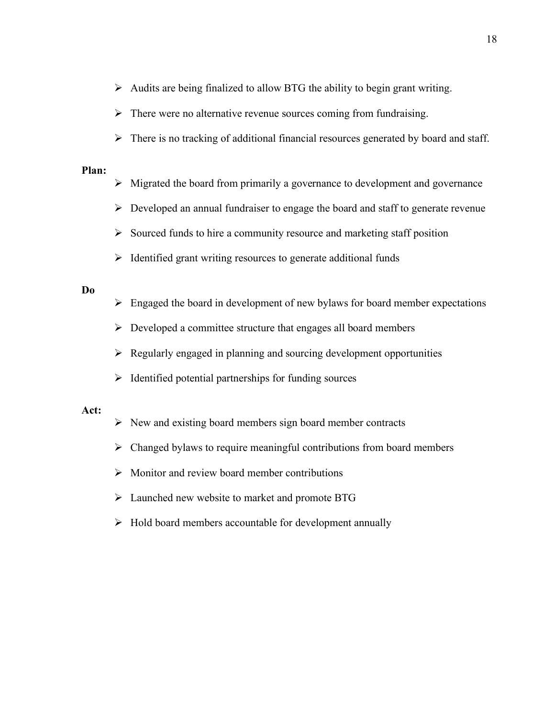- $\triangleright$  Audits are being finalized to allow BTG the ability to begin grant writing.
- $\triangleright$  There were no alternative revenue sources coming from fundraising.
- $\triangleright$  There is no tracking of additional financial resources generated by board and staff.

### **Plan:**

- $\triangleright$  Migrated the board from primarily a governance to development and governance
- $\triangleright$  Developed an annual fundraiser to engage the board and staff to generate revenue
- $\triangleright$  Sourced funds to hire a community resource and marketing staff position
- $\triangleright$  Identified grant writing resources to generate additional funds

### **Do**

- $\triangleright$  Engaged the board in development of new bylaws for board member expectations
- $\triangleright$  Developed a committee structure that engages all board members
- $\triangleright$  Regularly engaged in planning and sourcing development opportunities
- $\triangleright$  Identified potential partnerships for funding sources

### **Act:**

- $\triangleright$  New and existing board members sign board member contracts
- $\triangleright$  Changed bylaws to require meaningful contributions from board members
- $\triangleright$  Monitor and review board member contributions
- $\triangleright$  Launched new website to market and promote BTG
- $\triangleright$  Hold board members accountable for development annually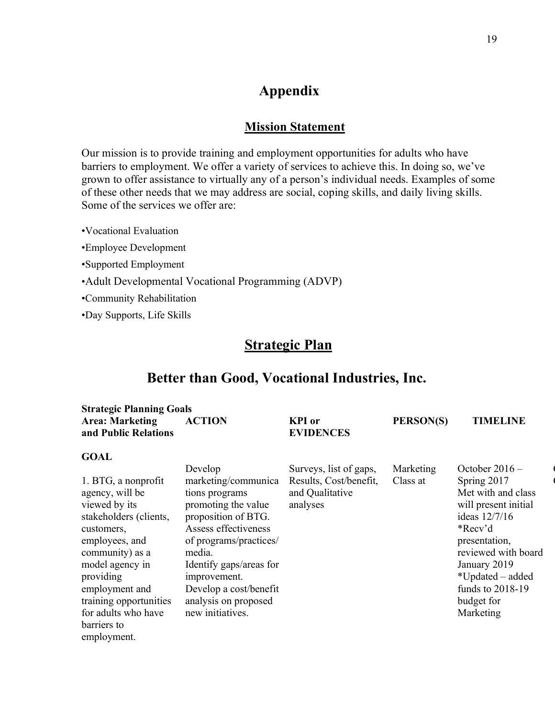# **Appendix**

# **Mission Statement**

Our mission is to provide training and employment opportunities for adults who have barriers to employment. We offer a variety of services to achieve this. In doing so, we've grown to offer assistance to virtually any of a person's individual needs. Examples of some of these other needs that we may address are social, coping skills, and daily living skills. Some of the services we offer are:

•Vocational Evaluation

•Employee Development

•Supported Employment

•Adult Developmental Vocational Programming (ADVP)

•Community Rehabilitation

•Day Supports, Life Skills

# **Strategic Plan**

# **Better than Good, Vocational Industries, Inc.**

| <b>Strategic Planning Goals</b>                                                                                                                                                                                                                                       |                                                                                                                                                                                                                                                                             |                                                                                 |                       |                                                                                                                                                                                                                                      |
|-----------------------------------------------------------------------------------------------------------------------------------------------------------------------------------------------------------------------------------------------------------------------|-----------------------------------------------------------------------------------------------------------------------------------------------------------------------------------------------------------------------------------------------------------------------------|---------------------------------------------------------------------------------|-----------------------|--------------------------------------------------------------------------------------------------------------------------------------------------------------------------------------------------------------------------------------|
| <b>Area: Marketing</b><br>and Public Relations                                                                                                                                                                                                                        | <b>ACTION</b>                                                                                                                                                                                                                                                               | <b>KPI</b> or<br><b>EVIDENCES</b>                                               | PERSON(S)             | <b>TIMELINE</b>                                                                                                                                                                                                                      |
| <b>GOAL</b>                                                                                                                                                                                                                                                           |                                                                                                                                                                                                                                                                             |                                                                                 |                       |                                                                                                                                                                                                                                      |
| 1. BTG, a nonprofit<br>agency, will be<br>viewed by its<br>stakeholders (clients,<br>customers,<br>employees, and<br>community) as a<br>model agency in<br>providing<br>employment and<br>training opportunities<br>for adults who have<br>barriers to<br>employment. | Develop<br>marketing/communica<br>tions programs<br>promoting the value<br>proposition of BTG.<br>Assess effectiveness<br>of programs/practices/<br>media.<br>Identify gaps/areas for<br>improvement.<br>Develop a cost/benefit<br>analysis on proposed<br>new initiatives. | Surveys, list of gaps,<br>Results, Cost/benefit,<br>and Qualitative<br>analyses | Marketing<br>Class at | October $2016 -$<br>Spring 2017<br>Met with and class<br>will present initial<br>ideas 12/7/16<br>*Recv'd<br>presentation,<br>reviewed with board<br>January 2019<br>*Updated – added<br>funds to 2018-19<br>budget for<br>Marketing |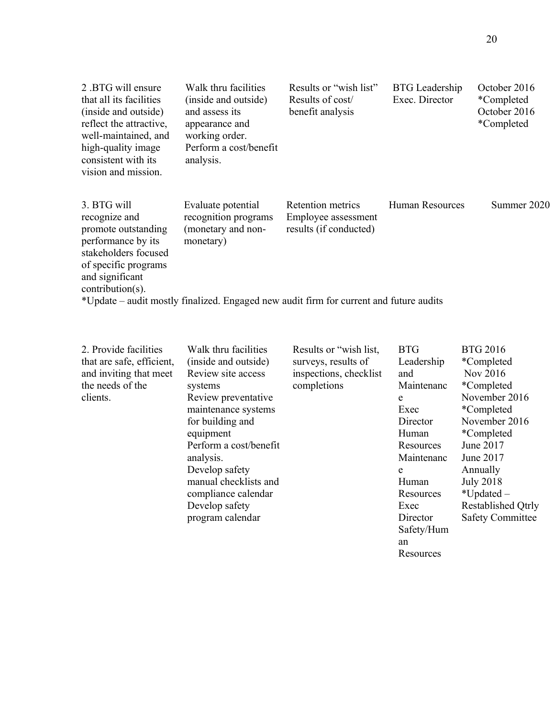| 2.BTG will ensure<br>that all its facilities<br>(inside and outside)<br>reflect the attractive.<br>well-maintained, and<br>high-quality image<br>consistent with its.<br>vision and mission. | Walk thru facilities<br>(inside and outside)<br>and assess its<br>appearance and<br>working order.<br>Perform a cost/benefit<br>analysis. | Results or "wish list"<br>Results of cost/<br>benefit analysis     | <b>BTG</b> Leadership<br>Exec. Director | October 2016<br>*Completed<br>October 2016<br>*Completed |
|----------------------------------------------------------------------------------------------------------------------------------------------------------------------------------------------|-------------------------------------------------------------------------------------------------------------------------------------------|--------------------------------------------------------------------|-----------------------------------------|----------------------------------------------------------|
| 3. BTG will<br>recognize and<br>promote outstanding<br>performance by its<br>stakeholders focused<br>of specific programs<br>and significant<br>$contribution(s)$ .                          | Evaluate potential<br>recognition programs<br>(monetary and non-<br>monetary)                                                             | Retention metrics<br>Employee assessment<br>results (if conducted) | <b>Human Resources</b>                  | Summer 2020                                              |
|                                                                                                                                                                                              | *Update – audit mostly finalized. Engaged new audit firm for current and future audits                                                    |                                                                    |                                         |                                                          |

| 2. Provide facilities     | Walk thru facilities   | Results or "wish list, | <b>BTG</b> | <b>BTG 2016</b>         |
|---------------------------|------------------------|------------------------|------------|-------------------------|
| that are safe, efficient, | (inside and outside)   | surveys, results of    | Leadership | <i>*</i> Completed      |
| and inviting that meet    | Review site access     | inspections, checklist | and        | Nov 2016                |
| the needs of the          | systems                | completions            | Maintenanc | <i>*</i> Completed      |
| clients.                  | Review preventative    |                        | e          | November 2016           |
|                           | maintenance systems    |                        | Exec       | <i>*</i> Completed      |
|                           | for building and       |                        | Director   | November 2016           |
|                           | equipment              |                        | Human      | <i>*</i> Completed      |
|                           | Perform a cost/benefit |                        | Resources  | June 2017               |
|                           | analysis.              |                        | Maintenanc | June 2017               |
|                           | Develop safety         |                        | e          | Annually                |
|                           | manual checklists and  |                        | Human      | <b>July 2018</b>        |
|                           | compliance calendar    |                        | Resources  | $*$ Updated –           |
|                           | Develop safety         |                        | Exec       | Restablished Qtrly      |
|                           | program calendar       |                        | Director   | <b>Safety Committee</b> |
|                           |                        |                        | Safety/Hum |                         |
|                           |                        |                        | an         |                         |
|                           |                        |                        | Resources  |                         |
|                           |                        |                        |            |                         |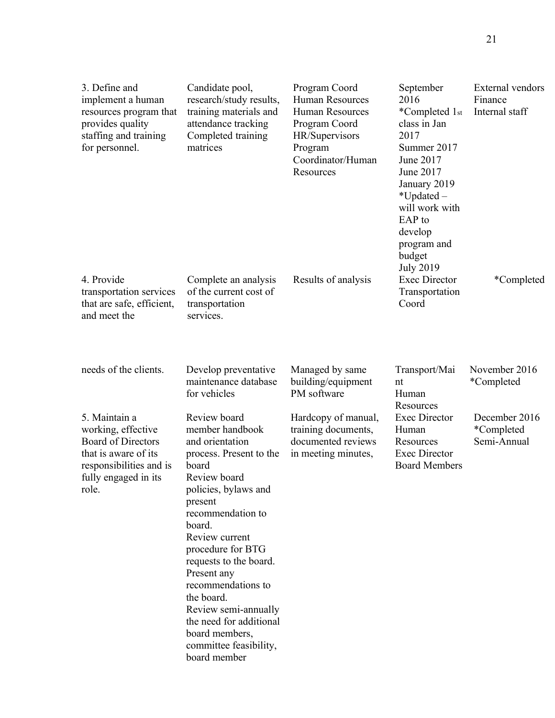| 3. Define and<br>implement a human<br>resources program that<br>provides quality<br>staffing and training<br>for personnel.                          | Candidate pool,<br>research/study results,<br>training materials and<br>attendance tracking<br>Completed training<br>matrices                                                                                                                                                                                                                                                                               | Program Coord<br><b>Human Resources</b><br><b>Human Resources</b><br>Program Coord<br>HR/Supervisors<br>Program<br>Coordinator/Human<br>Resources | September<br>2016<br>*Completed 1st<br>class in Jan<br>2017<br>Summer 2017<br>June 2017<br>June 2017<br>January 2019<br>*Updated-<br>will work with<br>EAP to<br>develop<br>program and<br>budget | External vendors<br>Finance<br>Internal staff |
|------------------------------------------------------------------------------------------------------------------------------------------------------|-------------------------------------------------------------------------------------------------------------------------------------------------------------------------------------------------------------------------------------------------------------------------------------------------------------------------------------------------------------------------------------------------------------|---------------------------------------------------------------------------------------------------------------------------------------------------|---------------------------------------------------------------------------------------------------------------------------------------------------------------------------------------------------|-----------------------------------------------|
| 4. Provide<br>transportation services<br>that are safe, efficient,<br>and meet the                                                                   | Complete an analysis<br>of the current cost of<br>transportation<br>services.                                                                                                                                                                                                                                                                                                                               | Results of analysis                                                                                                                               | <b>July 2019</b><br><b>Exec Director</b><br>Transportation<br>Coord                                                                                                                               | *Completed                                    |
| needs of the clients.                                                                                                                                | Develop preventative<br>maintenance database<br>for vehicles                                                                                                                                                                                                                                                                                                                                                | Managed by same<br>building/equipment<br>PM software                                                                                              | Transport/Mai<br>nt<br>Human                                                                                                                                                                      | November 2016<br>*Completed                   |
| 5. Maintain a<br>working, effective<br><b>Board of Directors</b><br>that is aware of its<br>responsibilities and is<br>fully engaged in its<br>role. | Review board<br>member handbook<br>and orientation<br>process. Present to the<br>board<br>Review board<br>policies, bylaws and<br>present<br>recommendation to<br>board.<br>Review current<br>procedure for BTG<br>requests to the board.<br>Present any<br>recommendations to<br>the board.<br>Review semi-annually<br>the need for additional<br>board members,<br>committee feasibility,<br>board member | Hardcopy of manual,<br>training documents,<br>documented reviews<br>in meeting minutes,                                                           | Resources<br><b>Exec Director</b><br>Human<br>Resources<br><b>Exec Director</b><br><b>Board Members</b>                                                                                           | December 2016<br>*Completed<br>Semi-Annual    |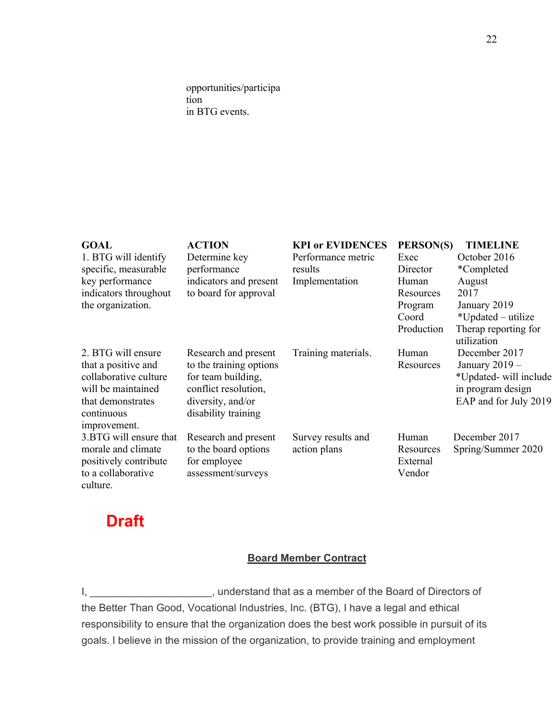opportunities/participa tion in BTG events.

| <b>GOAL</b><br>1. BTG will identify<br>specific, measurable<br>key performance<br>indicators throughout<br>the organization.                | <b>ACTION</b><br>Determine key<br>performance<br>indicators and present<br>to board for approval                                          | <b>KPI or EVIDENCES</b><br>Performance metric<br>results<br>Implementation | PERSON(S)<br>Exec<br>Director<br>Human<br>Resources<br>Program | <b>TIMELINE</b><br>October 2016<br><i>*</i> Completed<br>August<br>2017<br>January 2019                   |
|---------------------------------------------------------------------------------------------------------------------------------------------|-------------------------------------------------------------------------------------------------------------------------------------------|----------------------------------------------------------------------------|----------------------------------------------------------------|-----------------------------------------------------------------------------------------------------------|
|                                                                                                                                             |                                                                                                                                           |                                                                            | Coord<br>Production                                            | *Updated – utilize<br>Therap reporting for<br>utilization                                                 |
| 2. BTG will ensure<br>that a positive and<br>collaborative culture<br>will be maintained<br>that demonstrates<br>continuous<br>improvement. | Research and present<br>to the training options<br>for team building,<br>conflict resolution,<br>diversity, and/or<br>disability training | Training materials.                                                        | Human<br>Resources                                             | December 2017<br>January $2019 -$<br>*Updated- will include<br>in program design<br>EAP and for July 2019 |
| 3.BTG will ensure that<br>morale and climate<br>positively contribute<br>to a collaborative<br>culture.                                     | Research and present<br>to the board options<br>for employee<br>assessment/surveys                                                        | Survey results and<br>action plans                                         | Human<br>Resources<br>External<br>Vendor                       | December 2017<br>Spring/Summer 2020                                                                       |

# **Draft**

# **Board Member Contract**

I, \_\_\_\_\_\_\_\_\_\_\_\_\_\_\_\_\_\_\_\_\_\_, understand that as a member of the Board of Directors of the Better Than Good, Vocational Industries, Inc. (BTG), I have a legal and ethical responsibility to ensure that the organization does the best work possible in pursuit of its goals. I believe in the mission of the organization, to provide training and employment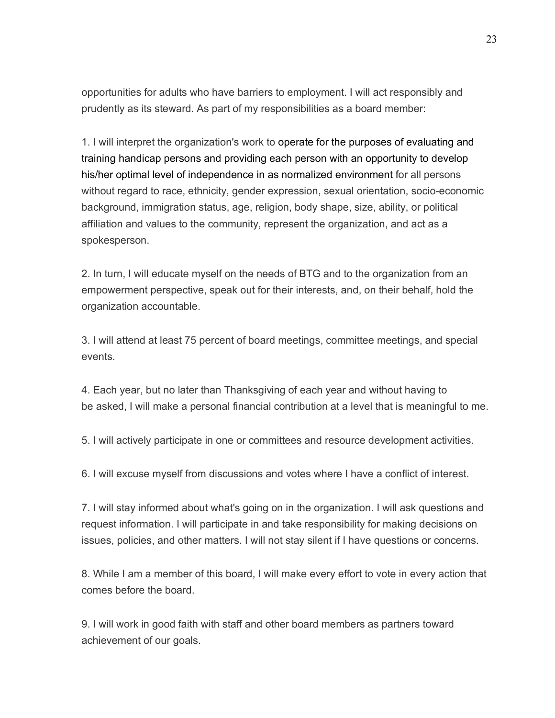opportunities for adults who have barriers to employment. I will act responsibly and prudently as its steward. As part of my responsibilities as a board member:

1. I will interpret the organization's work to operate for the purposes of evaluating and training handicap persons and providing each person with an opportunity to develop his/her optimal level of independence in as normalized environment for all persons without regard to race, ethnicity, gender expression, sexual orientation, socio-economic background, immigration status, age, religion, body shape, size, ability, or political affiliation and values to the community, represent the organization, and act as a spokesperson.

2. In turn, I will educate myself on the needs of BTG and to the organization from an empowerment perspective, speak out for their interests, and, on their behalf, hold the organization accountable.

3. I will attend at least 75 percent of board meetings, committee meetings, and special events.

4. Each year, but no later than Thanksgiving of each year and without having to be asked, I will make a personal financial contribution at a level that is meaningful to me.

5. I will actively participate in one or committees and resource development activities.

6. I will excuse myself from discussions and votes where I have a conflict of interest.

7. I will stay informed about what's going on in the organization. I will ask questions and request information. I will participate in and take responsibility for making decisions on issues, policies, and other matters. I will not stay silent if I have questions or concerns.

8. While I am a member of this board, I will make every effort to vote in every action that comes before the board.

9. I will work in good faith with staff and other board members as partners toward achievement of our goals.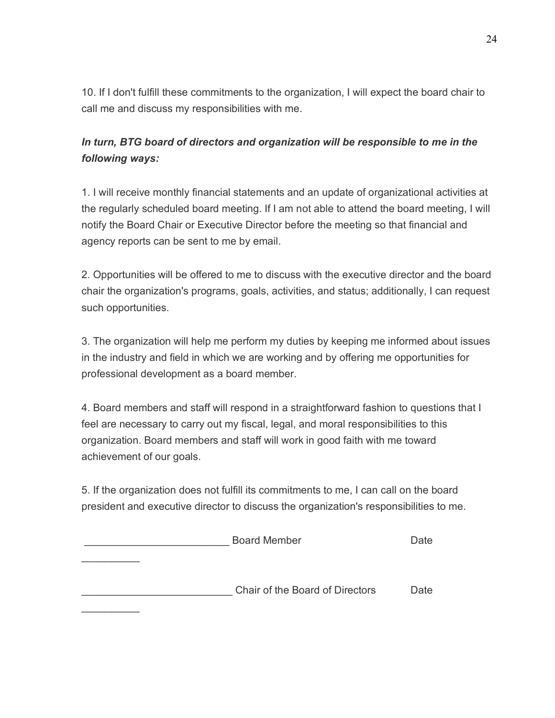10. If I don't fulfill these commitments to the organization, I will expect the board chair to call me and discuss my responsibilities with me.

# *In turn, BTG board of directors and organization will be responsible to me in the following ways:*

1. I will receive monthly financial statements and an update of organizational activities at the regularly scheduled board meeting. If I am not able to attend the board meeting, I will notify the Board Chair or Executive Director before the meeting so that financial and agency reports can be sent to me by email.

2. Opportunities will be offered to me to discuss with the executive director and the board chair the organization's programs, goals, activities, and status; additionally, I can request such opportunities.

3. The organization will help me perform my duties by keeping me informed about issues in the industry and field in which we are working and by offering me opportunities for professional development as a board member.

4. Board members and staff will respond in a straightforward fashion to questions that I feel are necessary to carry out my fiscal, legal, and moral responsibilities to this organization. Board members and staff will work in good faith with me toward achievement of our goals.

5. If the organization does not fulfill its commitments to me, I can call on the board president and executive director to discuss the organization's responsibilities to me.

Board Member **Date**  $\frac{1}{2}$ \_\_\_\_\_\_\_\_\_\_\_\_\_\_\_\_\_\_\_\_\_\_\_\_\_\_ Chair of the Board of Directors Date  $\frac{1}{2}$